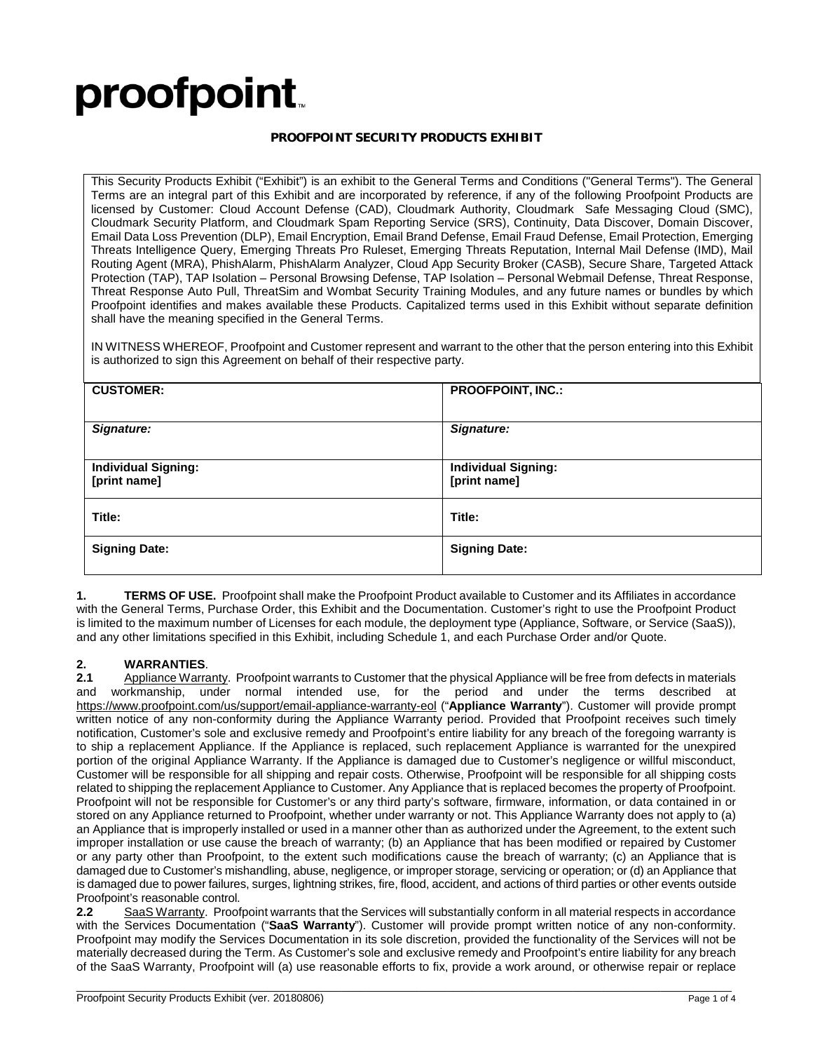# proofpoint.

### **PROOFPOINT SECURITY PRODUCTS EXHIBIT**

This Security Products Exhibit ("Exhibit") is an exhibit to the General Terms and Conditions ("General Terms"). The General Terms are an integral part of this Exhibit and are incorporated by reference, if any of the following Proofpoint Products are licensed by Customer: Cloud Account Defense (CAD), Cloudmark Authority, Cloudmark Safe Messaging Cloud (SMC), Cloudmark Security Platform, and Cloudmark Spam Reporting Service (SRS), Continuity, Data Discover, Domain Discover, Email Data Loss Prevention (DLP), Email Encryption, Email Brand Defense, Email Fraud Defense, Email Protection, Emerging Threats Intelligence Query, Emerging Threats Pro Ruleset, Emerging Threats Reputation, Internal Mail Defense (IMD), Mail Routing Agent (MRA), PhishAlarm, PhishAlarm Analyzer, Cloud App Security Broker (CASB), Secure Share, Targeted Attack Protection (TAP), TAP Isolation – Personal Browsing Defense, TAP Isolation – Personal Webmail Defense, Threat Response, Threat Response Auto Pull, ThreatSim and Wombat Security Training Modules, and any future names or bundles by which Proofpoint identifies and makes available these Products. Capitalized terms used in this Exhibit without separate definition shall have the meaning specified in the General Terms.

IN WITNESS WHEREOF, Proofpoint and Customer represent and warrant to the other that the person entering into this Exhibit is authorized to sign this Agreement on behalf of their respective party.

| <b>CUSTOMER:</b>           | <b>PROOFPOINT, INC.:</b>   |  |
|----------------------------|----------------------------|--|
| Signature:                 | Signature:                 |  |
| <b>Individual Signing:</b> | <b>Individual Signing:</b> |  |
|                            |                            |  |
| [print name]               | [print name]               |  |
| Title:                     | Title:                     |  |
| <b>Signing Date:</b>       | <b>Signing Date:</b>       |  |
|                            |                            |  |
|                            |                            |  |

**1. TERMS OF USE.** Proofpoint shall make the Proofpoint Product available to Customer and its Affiliates in accordance with the General Terms, Purchase Order, this Exhibit and the Documentation. Customer's right to use the Proofpoint Product is limited to the maximum number of Licenses for each module, the deployment type (Appliance, Software, or Service (SaaS)), and any other limitations specified in this Exhibit, including Schedule 1, and each Purchase Order and/or Quote.

## **2. WARRANTIES**.

**2.1** Appliance Warranty. Proofpoint warrants to Customer that the physical Appliance will be free from defects in materials and workmanship under normal intended use for the period and under the terms described at workmanship, under normal intended use, for the period and under the terms described at <https://www.proofpoint.com/us/support/email-appliance-warranty-eol> ("**Appliance Warranty**"). Customer will provide prompt written notice of any non-conformity during the Appliance Warranty period. Provided that Proofpoint receives such timely notification, Customer's sole and exclusive remedy and Proofpoint's entire liability for any breach of the foregoing warranty is to ship a replacement Appliance. If the Appliance is replaced, such replacement Appliance is warranted for the unexpired portion of the original Appliance Warranty. If the Appliance is damaged due to Customer's negligence or willful misconduct, Customer will be responsible for all shipping and repair costs. Otherwise, Proofpoint will be responsible for all shipping costs related to shipping the replacement Appliance to Customer. Any Appliance that is replaced becomes the property of Proofpoint. Proofpoint will not be responsible for Customer's or any third party's software, firmware, information, or data contained in or stored on any Appliance returned to Proofpoint, whether under warranty or not. This Appliance Warranty does not apply to (a) an Appliance that is improperly installed or used in a manner other than as authorized under the Agreement, to the extent such improper installation or use cause the breach of warranty; (b) an Appliance that has been modified or repaired by Customer or any party other than Proofpoint, to the extent such modifications cause the breach of warranty; (c) an Appliance that is damaged due to Customer's mishandling, abuse, negligence, or improper storage, servicing or operation; or (d) an Appliance that is damaged due to power failures, surges, lightning strikes, fire, flood, accident, and actions of third parties or other events outside Proofpoint's reasonable control.

**2.2** SaaS Warranty. Proofpoint warrants that the Services will substantially conform in all material respects in accordance with the Services Documentation ("**SaaS Warranty**"). Customer will provide prompt written notice of any non-conformity. Proofpoint may modify the Services Documentation in its sole discretion, provided the functionality of the Services will not be materially decreased during the Term. As Customer's sole and exclusive remedy and Proofpoint's entire liability for any breach of the SaaS Warranty, Proofpoint will (a) use reasonable efforts to fix, provide a work around, or otherwise repair or replace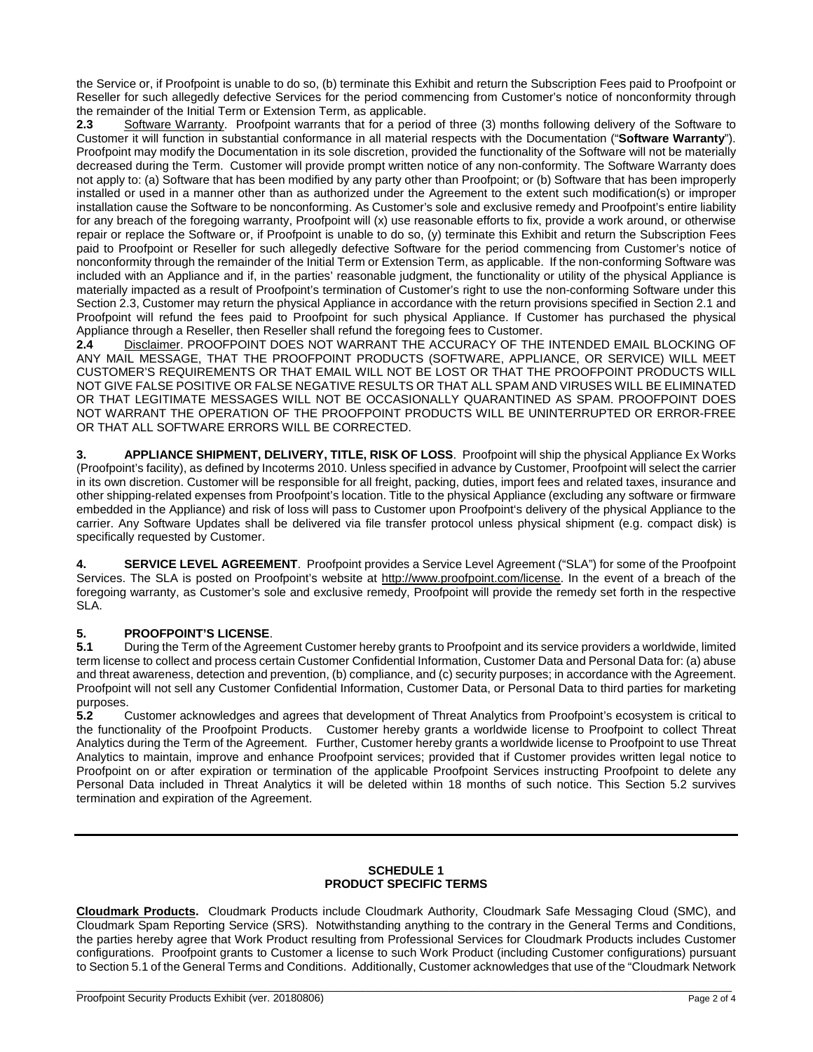the Service or, if Proofpoint is unable to do so, (b) terminate this Exhibit and return the Subscription Fees paid to Proofpoint or Reseller for such allegedly defective Services for the period commencing from Customer's notice of nonconformity through the remainder of the Initial Term or Extension Term, as applicable.<br>2.3 Software Warranty. Proofpoint warrants that for a period

**2.3** Software Warranty. Proofpoint warrants that for a period of three (3) months following delivery of the Software to Customer it will function in substantial conformance in all material respects with the Documentation ("**Software Warranty**"). Proofpoint may modify the Documentation in its sole discretion, provided the functionality of the Software will not be materially decreased during the Term. Customer will provide prompt written notice of any non-conformity. The Software Warranty does not apply to: (a) Software that has been modified by any party other than Proofpoint; or (b) Software that has been improperly installed or used in a manner other than as authorized under the Agreement to the extent such modification(s) or improper installation cause the Software to be nonconforming. As Customer's sole and exclusive remedy and Proofpoint's entire liability for any breach of the foregoing warranty, Proofpoint will (x) use reasonable efforts to fix, provide a work around, or otherwise repair or replace the Software or, if Proofpoint is unable to do so, (y) terminate this Exhibit and return the Subscription Fees paid to Proofpoint or Reseller for such allegedly defective Software for the period commencing from Customer's notice of nonconformity through the remainder of the Initial Term or Extension Term, as applicable. If the non-conforming Software was included with an Appliance and if, in the parties' reasonable judgment, the functionality or utility of the physical Appliance is materially impacted as a result of Proofpoint's termination of Customer's right to use the non-conforming Software under this Section 2.3, Customer may return the physical Appliance in accordance with the return provisions specified in Section 2.1 and Proofpoint will refund the fees paid to Proofpoint for such physical Appliance. If Customer has purchased the physical Appliance through a Reseller, then Reseller shall refund the foregoing fees to Customer.<br>2.4 Disclaimer. PROOFPOINT DOES NOT WARRANT THE ACCURACY OF THE

**2.4** Disclaimer. PROOFPOINT DOES NOT WARRANT THE ACCURACY OF THE INTENDED EMAIL BLOCKING OF ANY MAIL MESSAGE, THAT THE PROOFPOINT PRODUCTS (SOFTWARE, APPLIANCE, OR SERVICE) WILL MEET CUSTOMER'S REQUIREMENTS OR THAT EMAIL WILL NOT BE LOST OR THAT THE PROOFPOINT PRODUCTS WILL NOT GIVE FALSE POSITIVE OR FALSE NEGATIVE RESULTS OR THAT ALL SPAM AND VIRUSES WILL BE ELIMINATED OR THAT LEGITIMATE MESSAGES WILL NOT BE OCCASIONALLY QUARANTINED AS SPAM. PROOFPOINT DOES NOT WARRANT THE OPERATION OF THE PROOFPOINT PRODUCTS WILL BE UNINTERRUPTED OR ERROR-FREE OR THAT ALL SOFTWARE ERRORS WILL BE CORRECTED.

**3. APPLIANCE SHIPMENT, DELIVERY, TITLE, RISK OF LOSS**. Proofpoint will ship the physical Appliance Ex Works (Proofpoint's facility), as defined by Incoterms 2010. Unless specified in advance by Customer, Proofpoint will select the carrier in its own discretion. Customer will be responsible for all freight, packing, duties, import fees and related taxes, insurance and other shipping-related expenses from Proofpoint's location. Title to the physical Appliance (excluding any software or firmware embedded in the Appliance) and risk of loss will pass to Customer upon Proofpoint's delivery of the physical Appliance to the carrier. Any Software Updates shall be delivered via file transfer protocol unless physical shipment (e.g. compact disk) is specifically requested by Customer.

**4. SERVICE LEVEL AGREEMENT**. Proofpoint provides a Service Level Agreement ("SLA") for some of the Proofpoint Services. The SLA is posted on Proofpoint's website at [http://www.proofpoint.com/license.](http://www.proofpoint.com/license) In the event of a breach of the foregoing warranty, as Customer's sole and exclusive remedy, Proofpoint will provide the remedy set forth in the respective SLA.

## **5. PROOFPOINT'S LICENSE**.

**5.1** During the Term of the Agreement Customer hereby grants to Proofpoint and its service providers a worldwide, limited term license to collect and process certain Customer Confidential Information, Customer Data and Personal Data for: (a) abuse and threat awareness, detection and prevention, (b) compliance, and (c) security purposes; in accordance with the Agreement. Proofpoint will not sell any Customer Confidential Information, Customer Data, or Personal Data to third parties for marketing purposes.<br>5.2 C

**5.2** Customer acknowledges and agrees that development of Threat Analytics from Proofpoint's ecosystem is critical to the functionality of the Proofpoint Products. Customer hereby grants a worldwide license to Proofpoint to collect Threat Analytics during the Term of the Agreement. Further, Customer hereby grants a worldwide license to Proofpoint to use Threat Analytics to maintain, improve and enhance Proofpoint services; provided that if Customer provides written legal notice to Proofpoint on or after expiration or termination of the applicable Proofpoint Services instructing Proofpoint to delete any Personal Data included in Threat Analytics it will be deleted within 18 months of such notice. This Section 5.2 survives termination and expiration of the Agreement.

#### **SCHEDULE 1 PRODUCT SPECIFIC TERMS**

**Cloudmark Products.** Cloudmark Products include Cloudmark Authority, Cloudmark Safe Messaging Cloud (SMC), and Cloudmark Spam Reporting Service (SRS). Notwithstanding anything to the contrary in the General Terms and Conditions, the parties hereby agree that Work Product resulting from Professional Services for Cloudmark Products includes Customer configurations. Proofpoint grants to Customer a license to such Work Product (including Customer configurations) pursuant to Section 5.1 of the General Terms and Conditions. Additionally, Customer acknowledges that use of the "Cloudmark Network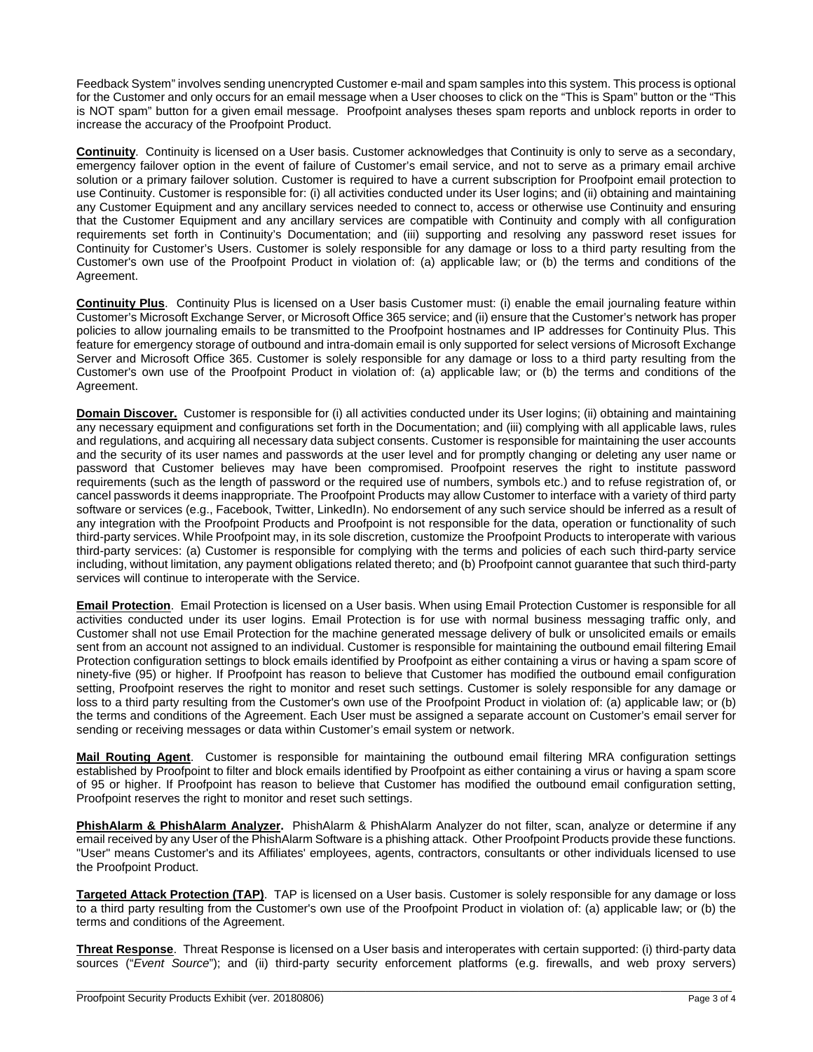Feedback System" involves sending unencrypted Customer e-mail and spam samples into this system. This process is optional for the Customer and only occurs for an email message when a User chooses to click on the "This is Spam" button or the "This is NOT spam" button for a given email message. Proofpoint analyses theses spam reports and unblock reports in order to increase the accuracy of the Proofpoint Product.

**Continuity**. Continuity is licensed on a User basis. Customer acknowledges that Continuity is only to serve as a secondary, emergency failover option in the event of failure of Customer's email service, and not to serve as a primary email archive solution or a primary failover solution. Customer is required to have a current subscription for Proofpoint email protection to use Continuity. Customer is responsible for: (i) all activities conducted under its User logins; and (ii) obtaining and maintaining any Customer Equipment and any ancillary services needed to connect to, access or otherwise use Continuity and ensuring that the Customer Equipment and any ancillary services are compatible with Continuity and comply with all configuration requirements set forth in Continuity's Documentation; and (iii) supporting and resolving any password reset issues for Continuity for Customer's Users. Customer is solely responsible for any damage or loss to a third party resulting from the Customer's own use of the Proofpoint Product in violation of: (a) applicable law; or (b) the terms and conditions of the Agreement.

**Continuity Plus**. Continuity Plus is licensed on a User basis Customer must: (i) enable the email journaling feature within Customer's Microsoft Exchange Server, or Microsoft Office 365 service; and (ii) ensure that the Customer's network has proper policies to allow journaling emails to be transmitted to the Proofpoint hostnames and IP addresses for Continuity Plus. This feature for emergency storage of outbound and intra-domain email is only supported for select versions of Microsoft Exchange Server and Microsoft Office 365. Customer is solely responsible for any damage or loss to a third party resulting from the Customer's own use of the Proofpoint Product in violation of: (a) applicable law; or (b) the terms and conditions of the Agreement.

**Domain Discover.** Customer is responsible for (i) all activities conducted under its User logins; (ii) obtaining and maintaining any necessary equipment and configurations set forth in the Documentation; and (iii) complying with all applicable laws, rules and regulations, and acquiring all necessary data subject consents. Customer is responsible for maintaining the user accounts and the security of its user names and passwords at the user level and for promptly changing or deleting any user name or password that Customer believes may have been compromised. Proofpoint reserves the right to institute password requirements (such as the length of password or the required use of numbers, symbols etc.) and to refuse registration of, or cancel passwords it deems inappropriate. The Proofpoint Products may allow Customer to interface with a variety of third party software or services (e.g., Facebook, Twitter, LinkedIn). No endorsement of any such service should be inferred as a result of any integration with the Proofpoint Products and Proofpoint is not responsible for the data, operation or functionality of such third-party services. While Proofpoint may, in its sole discretion, customize the Proofpoint Products to interoperate with various third-party services: (a) Customer is responsible for complying with the terms and policies of each such third-party service including, without limitation, any payment obligations related thereto; and (b) Proofpoint cannot guarantee that such third-party services will continue to interoperate with the Service.

**Email Protection**. Email Protection is licensed on a User basis. When using Email Protection Customer is responsible for all activities conducted under its user logins. Email Protection is for use with normal business messaging traffic only, and Customer shall not use Email Protection for the machine generated message delivery of bulk or unsolicited emails or emails sent from an account not assigned to an individual. Customer is responsible for maintaining the outbound email filtering Email Protection configuration settings to block emails identified by Proofpoint as either containing a virus or having a spam score of ninety-five (95) or higher. If Proofpoint has reason to believe that Customer has modified the outbound email configuration setting, Proofpoint reserves the right to monitor and reset such settings. Customer is solely responsible for any damage or loss to a third party resulting from the Customer's own use of the Proofpoint Product in violation of: (a) applicable law; or (b) the terms and conditions of the Agreement. Each User must be assigned a separate account on Customer's email server for sending or receiving messages or data within Customer's email system or network.

**Mail Routing Agent**. Customer is responsible for maintaining the outbound email filtering MRA configuration settings established by Proofpoint to filter and block emails identified by Proofpoint as either containing a virus or having a spam score of 95 or higher. If Proofpoint has reason to believe that Customer has modified the outbound email configuration setting, Proofpoint reserves the right to monitor and reset such settings.

**PhishAlarm & PhishAlarm Analyzer.** PhishAlarm & PhishAlarm Analyzer do not filter, scan, analyze or determine if any email received by any User of the PhishAlarm Software is a phishing attack. Other Proofpoint Products provide these functions. "User" means Customer's and its Affiliates' employees, agents, contractors, consultants or other individuals licensed to use the Proofpoint Product.

**Targeted Attack Protection (TAP)**. TAP is licensed on a User basis. Customer is solely responsible for any damage or loss to a third party resulting from the Customer's own use of the Proofpoint Product in violation of: (a) applicable law; or (b) the terms and conditions of the Agreement.

**Threat Response**. Threat Response is licensed on a User basis and interoperates with certain supported: (i) third-party data sources ("*Event Source*"); and (ii) third-party security enforcement platforms (e.g. firewalls, and web proxy servers)